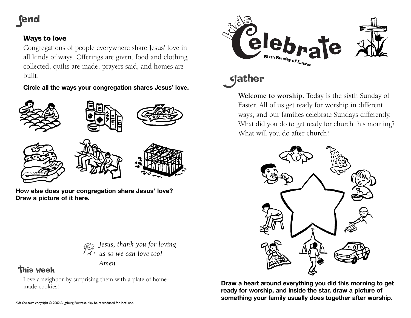# **(end**

## Ways to love

Congregations of people everywhere share Jesus' love in all kinds of ways. Offerings are given, food and clothing collected, quilts are made, prayers said, and homes are built.

### **Circle all the ways your congregation shares Jesus' love.**



**How else does your congregation share Jesus' love? Draw a picture of it here.**



# **This week**

Love a neighbor by surprising them with a plate of homemade cookies!

*Amen*





**gather** 

**Welcome to worship.** Today is the sixth Sunday of Easter. All of us get ready for worship in different ways, and our families celebrate Sundays differently. What did you do to get ready for church this morning? What will you do after church?



**Draw a heart around everything you did this morning to get ready for worship, and inside the star, draw a picture of something your family usually does together after worship.**